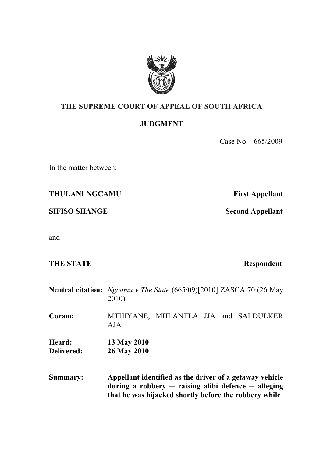

## **THE SUPREME COURT OF APPEAL OF SOUTH AFRICA**

## **JUDGMENT**

Case No: 665/2009

In the matter between:

**THULANI NGCAMU First Appellant** 

**SIFISO SHANGE Second Appellant** 

and

**THE STATE** Respondent

**Neutral citation:** *Ngcamu v The State* (665/09)[2010] ZASCA 70 (26 May 2010) **Coram:** MTHIYANE, MHLANTLA JJA and SALDULKER AJA **Heard: 13 May 2010 Delivered: 26 May 2010**

**Summary: Appellant identified as the driver of a getaway vehicle during a robbery ─ raising alibi defence ─ alleging that he was hijacked shortly before the robbery while**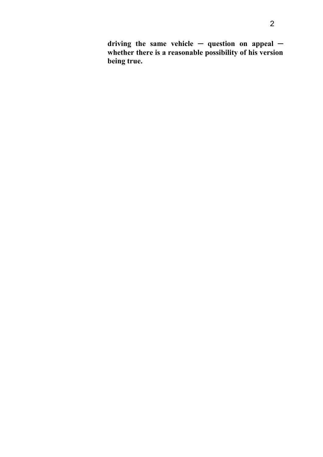**driving the same vehicle ─ question on appeal ─ whether there is a reasonable possibility of his version being true.**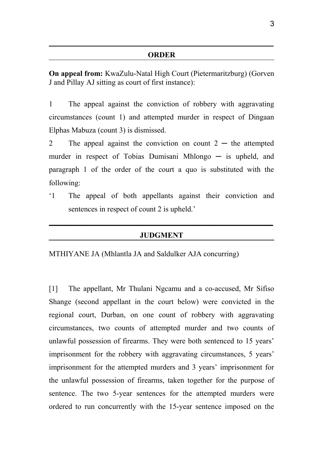## **ORDER**

 **\_\_\_\_\_\_\_\_\_\_\_\_\_\_\_\_\_\_\_\_\_\_\_\_\_\_\_\_\_\_\_\_\_\_\_\_\_\_\_\_\_\_\_\_\_\_\_\_\_\_\_\_\_\_\_\_\_\_\_\_\_\_ \_\_\_\_\_\_\_**

**On appeal from:** KwaZulu-Natal High Court (Pietermaritzburg) (Gorven J and Pillay AJ sitting as court of first instance):

1 The appeal against the conviction of robbery with aggravating circumstances (count 1) and attempted murder in respect of Dingaan Elphas Mabuza (count 3) is dismissed.

2 The appeal against the conviction on count  $2 -$  the attempted murder in respect of Tobias Dumisani Mhlongo  $-$  is upheld, and paragraph 1 of the order of the court a quo is substituted with the following:

'1 The appeal of both appellants against their conviction and sentences in respect of count 2 is upheld.'

## **JUDGMENT**

**\_\_\_\_\_\_\_\_\_\_\_\_\_\_\_\_\_\_\_\_\_\_\_\_\_\_\_\_\_\_\_\_\_\_\_\_\_\_\_\_\_\_\_\_\_\_\_\_\_\_\_\_\_\_\_\_\_\_\_**

MTHIYANE JA (Mhlantla JA and Saldulker AJA concurring)

[1] The appellant, Mr Thulani Ngcamu and a co-accused, Mr Sifiso Shange (second appellant in the court below) were convicted in the regional court, Durban, on one count of robbery with aggravating circumstances, two counts of attempted murder and two counts of unlawful possession of firearms. They were both sentenced to 15 years' imprisonment for the robbery with aggravating circumstances, 5 years' imprisonment for the attempted murders and 3 years' imprisonment for the unlawful possession of firearms, taken together for the purpose of sentence. The two 5-year sentences for the attempted murders were ordered to run concurrently with the 15-year sentence imposed on the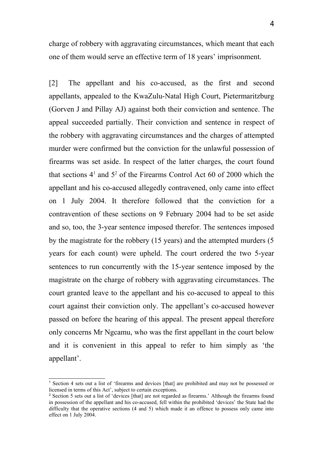charge of robbery with aggravating circumstances, which meant that each one of them would serve an effective term of 18 years' imprisonment.

[2] The appellant and his co-accused, as the first and second appellants, appealed to the KwaZulu-Natal High Court, Pietermaritzburg (Gorven J and Pillay AJ) against both their conviction and sentence. The appeal succeeded partially. Their conviction and sentence in respect of the robbery with aggravating circumstances and the charges of attempted murder were confirmed but the conviction for the unlawful possession of firearms was set aside. In respect of the latter charges, the court found that sections  $4<sup>1</sup>$  $4<sup>1</sup>$  $4<sup>1</sup>$  and  $5<sup>2</sup>$  $5<sup>2</sup>$  $5<sup>2</sup>$  of the Firearms Control Act 60 of 2000 which the appellant and his co-accused allegedly contravened, only came into effect on 1 July 2004. It therefore followed that the conviction for a contravention of these sections on 9 February 2004 had to be set aside and so, too, the 3-year sentence imposed therefor. The sentences imposed by the magistrate for the robbery (15 years) and the attempted murders (5 years for each count) were upheld. The court ordered the two 5-year sentences to run concurrently with the 15-year sentence imposed by the magistrate on the charge of robbery with aggravating circumstances. The court granted leave to the appellant and his co-accused to appeal to this court against their conviction only. The appellant's co-accused however passed on before the hearing of this appeal. The present appeal therefore only concerns Mr Ngcamu, who was the first appellant in the court below and it is convenient in this appeal to refer to him simply as 'the appellant'.

<span id="page-3-0"></span><sup>1</sup> Section 4 sets out a list of 'firearms and devices [that] are prohibited and may not be possessed or licensed in terms of this Act', subject to certain exceptions.

<span id="page-3-1"></span><sup>&</sup>lt;sup>2</sup> Section 5 sets out a list of 'devices [that] are not regarded as firearms.' Although the firearms found in possession of the appellant and his co-accused, fell within the prohibited 'devices' the State had the difficulty that the operative sections (4 and 5) which made it an offence to possess only came into effect on 1 July 2004.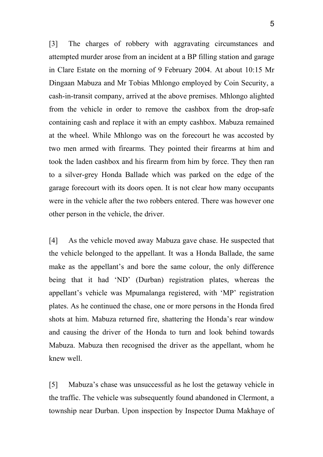[3] The charges of robbery with aggravating circumstances and attempted murder arose from an incident at a BP filling station and garage in Clare Estate on the morning of 9 February 2004. At about 10:15 Mr Dingaan Mabuza and Mr Tobias Mhlongo employed by Coin Security, a cash-in-transit company, arrived at the above premises. Mhlongo alighted from the vehicle in order to remove the cashbox from the drop-safe containing cash and replace it with an empty cashbox. Mabuza remained at the wheel. While Mhlongo was on the forecourt he was accosted by two men armed with firearms. They pointed their firearms at him and took the laden cashbox and his firearm from him by force. They then ran to a silver-grey Honda Ballade which was parked on the edge of the garage forecourt with its doors open. It is not clear how many occupants were in the vehicle after the two robbers entered. There was however one other person in the vehicle, the driver.

[4] As the vehicle moved away Mabuza gave chase. He suspected that the vehicle belonged to the appellant. It was a Honda Ballade, the same make as the appellant's and bore the same colour, the only difference being that it had 'ND' (Durban) registration plates, whereas the appellant's vehicle was Mpumalanga registered, with 'MP' registration plates. As he continued the chase, one or more persons in the Honda fired shots at him. Mabuza returned fire, shattering the Honda's rear window and causing the driver of the Honda to turn and look behind towards Mabuza. Mabuza then recognised the driver as the appellant, whom he knew well.

[5] Mabuza's chase was unsuccessful as he lost the getaway vehicle in the traffic. The vehicle was subsequently found abandoned in Clermont, a township near Durban. Upon inspection by Inspector Duma Makhaye of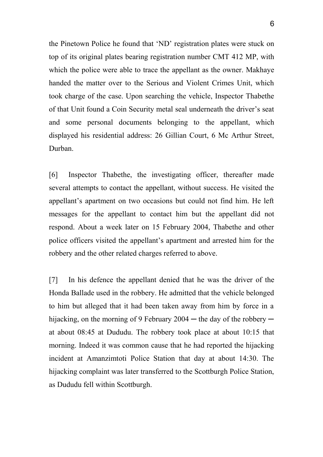the Pinetown Police he found that 'ND' registration plates were stuck on top of its original plates bearing registration number CMT 412 MP, with which the police were able to trace the appellant as the owner. Makhaye handed the matter over to the Serious and Violent Crimes Unit, which took charge of the case. Upon searching the vehicle, Inspector Thabethe of that Unit found a Coin Security metal seal underneath the driver's seat and some personal documents belonging to the appellant, which displayed his residential address: 26 Gillian Court, 6 Mc Arthur Street, Durban.

[6] Inspector Thabethe, the investigating officer, thereafter made several attempts to contact the appellant, without success. He visited the appellant's apartment on two occasions but could not find him. He left messages for the appellant to contact him but the appellant did not respond. About a week later on 15 February 2004, Thabethe and other police officers visited the appellant's apartment and arrested him for the robbery and the other related charges referred to above.

[7] In his defence the appellant denied that he was the driver of the Honda Ballade used in the robbery. He admitted that the vehicle belonged to him but alleged that it had been taken away from him by force in a hijacking, on the morning of 9 February  $2004 -$  the day of the robbery  $$ at about 08:45 at Dududu. The robbery took place at about 10:15 that morning. Indeed it was common cause that he had reported the hijacking incident at Amanzimtoti Police Station that day at about 14:30. The hijacking complaint was later transferred to the Scottburgh Police Station, as Dududu fell within Scottburgh.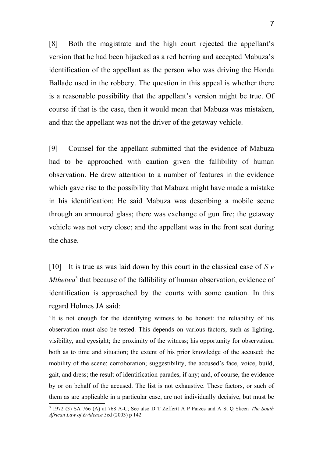[8] Both the magistrate and the high court rejected the appellant's version that he had been hijacked as a red herring and accepted Mabuza's identification of the appellant as the person who was driving the Honda Ballade used in the robbery. The question in this appeal is whether there is a reasonable possibility that the appellant's version might be true. Of course if that is the case, then it would mean that Mabuza was mistaken, and that the appellant was not the driver of the getaway vehicle.

[9] Counsel for the appellant submitted that the evidence of Mabuza had to be approached with caution given the fallibility of human observation. He drew attention to a number of features in the evidence which gave rise to the possibility that Mabuza might have made a mistake in his identification: He said Mabuza was describing a mobile scene through an armoured glass; there was exchange of gun fire; the getaway vehicle was not very close; and the appellant was in the front seat during the chase.

[10] It is true as was laid down by this court in the classical case of *S v Mthetwa*<sup>[3](#page-6-0)</sup> that because of the fallibility of human observation, evidence of identification is approached by the courts with some caution. In this regard Holmes JA said:

'It is not enough for the identifying witness to be honest: the reliability of his observation must also be tested. This depends on various factors, such as lighting, visibility, and eyesight; the proximity of the witness; his opportunity for observation, both as to time and situation; the extent of his prior knowledge of the accused; the mobility of the scene; corroboration; suggestibility, the accused's face, voice, build, gait, and dress; the result of identification parades, if any; and, of course, the evidence by or on behalf of the accused. The list is not exhaustive. These factors, or such of them as are applicable in a particular case, are not individually decisive, but must be

<span id="page-6-0"></span><sup>3</sup> 1972 (3) SA 766 (A) at 768 A-C; See also D T Zeffertt A P Paizes and A St Q Skeen *The South African Law of Evidence* 5ed (2003) p 142.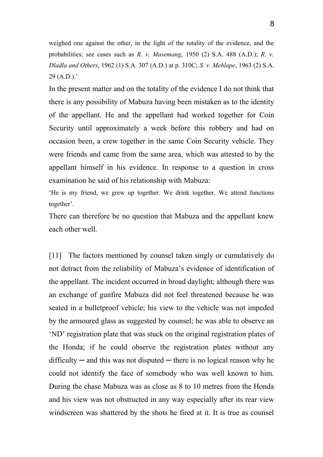weighed one against the other, in the light of the totality of the evidence, and the probabilities; see cases such as *R. v. Masemang*, 1950 (2) S.A. 488 (A.D.); *R. v. Dladla and Others*, 1962 (1) S.A. 307 (A.D.) at p. 310C; *S. v. Mehlape*, 1963 (2) S.A. 29 (A.D.).'

In the present matter and on the totality of the evidence I do not think that there is any possibility of Mabuza having been mistaken as to the identity of the appellant. He and the appellant had worked together for Coin Security until approximately a week before this robbery and had on occasion been, a crew together in the same Coin Security vehicle. They were friends and came from the same area, which was attested to by the appellant himself in his evidence. In response to a question in cross examination he said of his relationship with Mabuza:

'He is my friend, we grew up together. We drink together. We attend functions together'.

There can therefore be no question that Mabuza and the appellant knew each other well.

[11] The factors mentioned by counsel taken singly or cumulatively do not detract from the reliability of Mabuza's evidence of identification of the appellant. The incident occurred in broad daylight; although there was an exchange of gunfire Mabuza did not feel threatened because he was seated in a bulletproof vehicle; his view to the vehicle was not impeded by the armoured glass as suggested by counsel; he was able to observe an 'ND' registration plate that was stuck on the original registration plates of the Honda; if he could observe the registration plates without any  $difficulty$  — and this was not disputed — there is no logical reason why he could not identify the face of somebody who was well known to him. During the chase Mabuza was as close as 8 to 10 metres from the Honda and his view was not obstructed in any way especially after its rear view windscreen was shattered by the shots he fired at it. It is true as counsel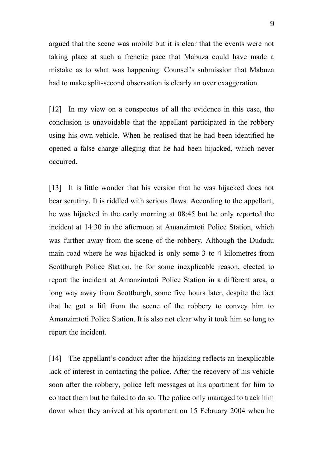argued that the scene was mobile but it is clear that the events were not taking place at such a frenetic pace that Mabuza could have made a mistake as to what was happening. Counsel's submission that Mabuza had to make split-second observation is clearly an over exaggeration.

[12] In my view on a conspectus of all the evidence in this case, the conclusion is unavoidable that the appellant participated in the robbery using his own vehicle. When he realised that he had been identified he opened a false charge alleging that he had been hijacked, which never occurred.

[13] It is little wonder that his version that he was hijacked does not bear scrutiny. It is riddled with serious flaws. According to the appellant, he was hijacked in the early morning at 08:45 but he only reported the incident at 14:30 in the afternoon at Amanzimtoti Police Station, which was further away from the scene of the robbery. Although the Dududu main road where he was hijacked is only some 3 to 4 kilometres from Scottburgh Police Station, he for some inexplicable reason, elected to report the incident at Amanzimtoti Police Station in a different area, a long way away from Scottburgh, some five hours later, despite the fact that he got a lift from the scene of the robbery to convey him to Amanzimtoti Police Station. It is also not clear why it took him so long to report the incident.

[14] The appellant's conduct after the hijacking reflects an inexplicable lack of interest in contacting the police. After the recovery of his vehicle soon after the robbery, police left messages at his apartment for him to contact them but he failed to do so. The police only managed to track him down when they arrived at his apartment on 15 February 2004 when he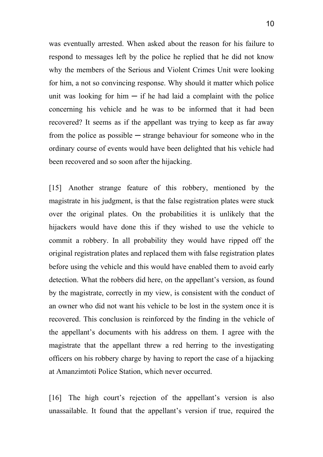was eventually arrested. When asked about the reason for his failure to respond to messages left by the police he replied that he did not know why the members of the Serious and Violent Crimes Unit were looking for him, a not so convincing response. Why should it matter which police unit was looking for him  $-$  if he had laid a complaint with the police concerning his vehicle and he was to be informed that it had been recovered? It seems as if the appellant was trying to keep as far away from the police as possible  $-$  strange behaviour for someone who in the ordinary course of events would have been delighted that his vehicle had been recovered and so soon after the hijacking.

[15] Another strange feature of this robbery, mentioned by the magistrate in his judgment, is that the false registration plates were stuck over the original plates. On the probabilities it is unlikely that the hijackers would have done this if they wished to use the vehicle to commit a robbery. In all probability they would have ripped off the original registration plates and replaced them with false registration plates before using the vehicle and this would have enabled them to avoid early detection. What the robbers did here, on the appellant's version, as found by the magistrate, correctly in my view, is consistent with the conduct of an owner who did not want his vehicle to be lost in the system once it is recovered. This conclusion is reinforced by the finding in the vehicle of the appellant's documents with his address on them. I agree with the magistrate that the appellant threw a red herring to the investigating officers on his robbery charge by having to report the case of a hijacking at Amanzimtoti Police Station, which never occurred.

[16] The high court's rejection of the appellant's version is also unassailable. It found that the appellant's version if true, required the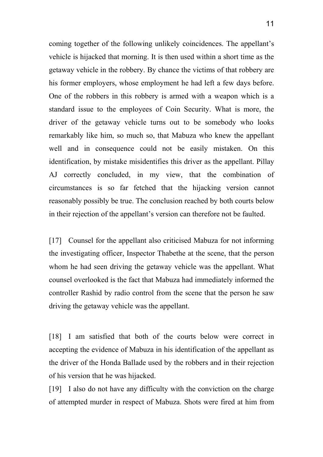coming together of the following unlikely coincidences. The appellant's vehicle is hijacked that morning. It is then used within a short time as the getaway vehicle in the robbery. By chance the victims of that robbery are his former employers, whose employment he had left a few days before. One of the robbers in this robbery is armed with a weapon which is a standard issue to the employees of Coin Security. What is more, the driver of the getaway vehicle turns out to be somebody who looks remarkably like him, so much so, that Mabuza who knew the appellant well and in consequence could not be easily mistaken. On this identification, by mistake misidentifies this driver as the appellant. Pillay AJ correctly concluded, in my view, that the combination of circumstances is so far fetched that the hijacking version cannot reasonably possibly be true. The conclusion reached by both courts below in their rejection of the appellant's version can therefore not be faulted.

[17] Counsel for the appellant also criticised Mabuza for not informing the investigating officer, Inspector Thabethe at the scene, that the person whom he had seen driving the getaway vehicle was the appellant. What counsel overlooked is the fact that Mabuza had immediately informed the controller Rashid by radio control from the scene that the person he saw driving the getaway vehicle was the appellant.

[18] I am satisfied that both of the courts below were correct in accepting the evidence of Mabuza in his identification of the appellant as the driver of the Honda Ballade used by the robbers and in their rejection of his version that he was hijacked.

[19] I also do not have any difficulty with the conviction on the charge of attempted murder in respect of Mabuza. Shots were fired at him from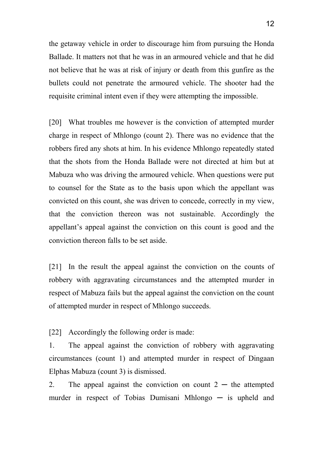the getaway vehicle in order to discourage him from pursuing the Honda Ballade. It matters not that he was in an armoured vehicle and that he did not believe that he was at risk of injury or death from this gunfire as the bullets could not penetrate the armoured vehicle. The shooter had the requisite criminal intent even if they were attempting the impossible.

[20] What troubles me however is the conviction of attempted murder charge in respect of Mhlongo (count 2). There was no evidence that the robbers fired any shots at him. In his evidence Mhlongo repeatedly stated that the shots from the Honda Ballade were not directed at him but at Mabuza who was driving the armoured vehicle. When questions were put to counsel for the State as to the basis upon which the appellant was convicted on this count, she was driven to concede, correctly in my view, that the conviction thereon was not sustainable. Accordingly the appellant's appeal against the conviction on this count is good and the conviction thereon falls to be set aside.

[21] In the result the appeal against the conviction on the counts of robbery with aggravating circumstances and the attempted murder in respect of Mabuza fails but the appeal against the conviction on the count of attempted murder in respect of Mhlongo succeeds.

[22] Accordingly the following order is made:

1. The appeal against the conviction of robbery with aggravating circumstances (count 1) and attempted murder in respect of Dingaan Elphas Mabuza (count 3) is dismissed.

2. The appeal against the conviction on count  $2 -$  the attempted murder in respect of Tobias Dumisani Mhlongo — is upheld and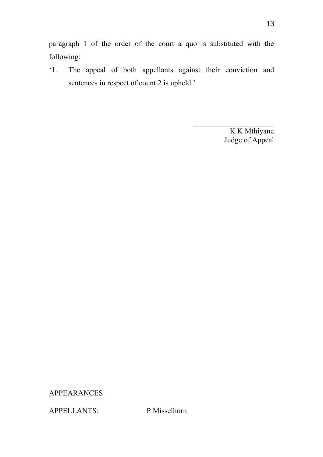paragraph 1 of the order of the court a quo is substituted with the following:

'1. The appeal of both appellants against their conviction and sentences in respect of count 2 is upheld.'

> K K Mthiyane Judge of Appeal

APPEARANCES

APPELLANTS: P Misselhorn